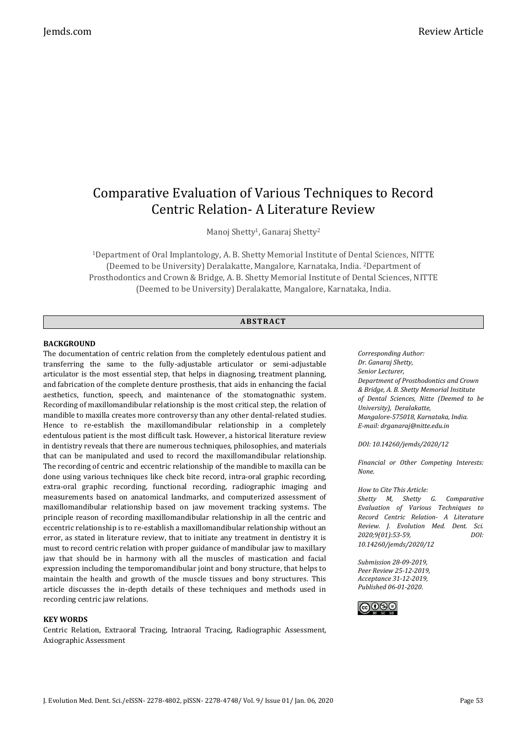# Comparative Evaluation of Various Techniques to Record Centric Relation- A Literature Review

Manoj Shetty<sup>1</sup>, Ganaraj Shetty<sup>2</sup>

<sup>1</sup>Department of Oral Implantology, A. B. Shetty Memorial Institute of Dental Sciences, NITTE (Deemed to be University) Deralakatte, Mangalore, Karnataka, India. 2Department of Prosthodontics and Crown & Bridge, A. B. Shetty Memorial Institute of Dental Sciences, NITTE (Deemed to be University) Deralakatte, Mangalore, Karnataka, India.

# **ABS TR ACT**

## **BACKGROUND**

The documentation of centric relation from the completely edentulous patient and transferring the same to the fully-adjustable articulator or semi-adjustable articulator is the most essential step, that helps in diagnosing, treatment planning, and fabrication of the complete denture prosthesis, that aids in enhancing the facial aesthetics, function, speech, and maintenance of the stomatognathic system. Recording of maxillomandibular relationship is the most critical step, the relation of mandible to maxilla creates more controversy than any other dental-related studies. Hence to re-establish the maxillomandibular relationship in a completely edentulous patient is the most difficult task. However, a historical literature review in dentistry reveals that there are numerous techniques, philosophies, and materials that can be manipulated and used to record the maxillomandibular relationship. The recording of centric and eccentric relationship of the mandible to maxilla can be done using various techniques like check bite record, intra-oral graphic recording, extra-oral graphic recording, functional recording, radiographic imaging and measurements based on anatomical landmarks, and computerized assessment of maxillomandibular relationship based on jaw movement tracking systems. The principle reason of recording maxillomandibular relationship in all the centric and eccentric relationship is to re-establish a maxillomandibular relationship without an error, as stated in literature review, that to initiate any treatment in dentistry it is must to record centric relation with proper guidance of mandibular jaw to maxillary jaw that should be in harmony with all the muscles of mastication and facial expression including the temporomandibular joint and bony structure, that helps to maintain the health and growth of the muscle tissues and bony structures. This article discusses the in-depth details of these techniques and methods used in recording centric jaw relations.

### **KEY WORDS**

Centric Relation, Extraoral Tracing, Intraoral Tracing, Radiographic Assessment, Axiographic Assessment

*Corresponding Author: Dr. Ganaraj Shetty, Senior Lecturer, Department of Prosthodontics and Crown & Bridge, A. B. Shetty Memorial Institute of Dental Sciences, Nitte (Deemed to be University), Deralakatte, Mangalore-575018, Karnataka, India. E-mail: drganaraj@nitte.edu.in*

*DOI: 10.14260/jemds/2020/12*

*Financial or Other Competing Interests: None.*

*How to Cite This Article:*

*Shetty M, Shetty G. Comparative Evaluation of Various Techniques to Record Centric Relation- A Literature Review. J. Evolution Med. Dent. Sci. 2020;9(01):53-59, DOI: 10.14260/jemds/2020/12*

*Submission 28-09-2019, Peer Review 25-12-2019, Acceptance 31-12-2019, Published 06-01-2020.*

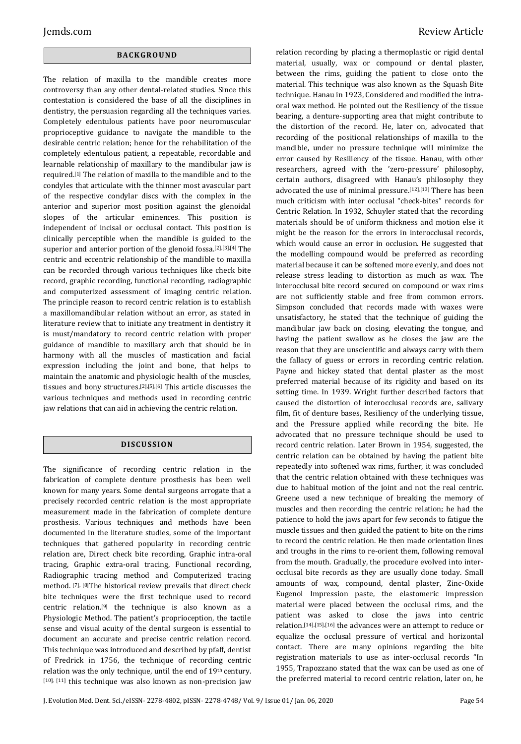# **BACK GR O U ND**

The relation of maxilla to the mandible creates more controversy than any other dental-related studies. Since this contestation is considered the base of all the disciplines in dentistry, the persuasion regarding all the techniques varies. Completely edentulous patients have poor neuromuscular proprioceptive guidance to navigate the mandible to the desirable centric relation; hence for the rehabilitation of the completely edentulous patient, a repeatable, recordable and learnable relationship of maxillary to the mandibular jaw is required.[1] The relation of maxilla to the mandible and to the condyles that articulate with the thinner most avascular part of the respective condylar discs with the complex in the anterior and superior most position against the glenoidal slopes of the articular eminences. This position is independent of incisal or occlusal contact. This position is clinically perceptible when the mandible is guided to the superior and anterior portion of the glenoid fossa.[2],[3],[4] The centric and eccentric relationship of the mandible to maxilla can be recorded through various techniques like check bite record, graphic recording, functional recording, radiographic and computerized assessment of imaging centric relation. The principle reason to record centric relation is to establish a maxillomandibular relation without an error, as stated in literature review that to initiate any treatment in dentistry it is must/mandatory to record centric relation with proper guidance of mandible to maxillary arch that should be in harmony with all the muscles of mastication and facial expression including the joint and bone, that helps to maintain the anatomic and physiologic health of the muscles, tissues and bony structures.[2],[5],[6] This article discusses the various techniques and methods used in recording centric jaw relations that can aid in achieving the centric relation.

# **DI SCU S SI ON**

The significance of recording centric relation in the fabrication of complete denture prosthesis has been well known for many years. Some dental surgeons arrogate that a precisely recorded centric relation is the most appropriate measurement made in the fabrication of complete denture prosthesis. Various techniques and methods have been documented in the literature studies, some of the important techniques that gathered popularity in recording centric relation are, Direct check bite recording, Graphic intra-oral tracing, Graphic extra-oral tracing, Functional recording, Radiographic tracing method and Computerized tracing method. [7], [8]The historical review prevails that direct check bite techniques were the first technique used to record centric relation.[9] the technique is also known as a Physiologic Method. The patient's proprioception, the tactile sense and visual acuity of the dental surgeon is essential to document an accurate and precise centric relation record. This technique was introduced and described by pfaff, dentist of Fredrick in 1756, the technique of recording centric relation was the only technique, until the end of 19<sup>th</sup> century. [10], [11] this technique was also known as non-precision jaw relation recording by placing a thermoplastic or rigid dental material, usually, wax or compound or dental plaster, between the rims, guiding the patient to close onto the material. This technique was also known as the Squash Bite technique. Hanau in 1923, Considered and modified the intraoral wax method. He pointed out the Resiliency of the tissue bearing, a denture-supporting area that might contribute to the distortion of the record. He, later on, advocated that recording of the positional relationships of maxilla to the mandible, under no pressure technique will minimize the error caused by Resiliency of the tissue. Hanau, with other researchers, agreed with the 'zero-pressure' philosophy, certain authors, disagreed with Hanau's philosophy they advocated the use of minimal pressure.[12],[13] There has been much criticism with inter occlusal "check-bites" records for Centric Relation. In 1932, Schuyler stated that the recording materials should be of uniform thickness and motion else it might be the reason for the errors in interocclusal records, which would cause an error in occlusion. He suggested that the modelling compound would be preferred as recording material because it can be softened more evenly, and does not release stress leading to distortion as much as wax. The interocclusal bite record secured on compound or wax rims are not sufficiently stable and free from common errors. Simpson concluded that records made with waxes were unsatisfactory, he stated that the technique of guiding the mandibular jaw back on closing, elevating the tongue, and having the patient swallow as he closes the jaw are the reason that they are unscientific and always carry with them the fallacy of guess or errors in recording centric relation. Payne and hickey stated that dental plaster as the most preferred material because of its rigidity and based on its setting time. In 1939. Wright further described factors that caused the distortion of interocclusal records are, salivary film, fit of denture bases, Resiliency of the underlying tissue, and the Pressure applied while recording the bite. He advocated that no pressure technique should be used to record centric relation. Later Brown in 1954, suggested, the centric relation can be obtained by having the patient bite repeatedly into softened wax rims, further, it was concluded that the centric relation obtained with these techniques was due to habitual motion of the joint and not the real centric. Greene used a new technique of breaking the memory of muscles and then recording the centric relation; he had the patience to hold the jaws apart for few seconds to fatigue the muscle tissues and then guided the patient to bite on the rims to record the centric relation. He then made orientation lines and troughs in the rims to re-orient them, following removal from the mouth. Gradually, the procedure evolved into interocclusal bite records as they are usually done today. Small amounts of wax, compound, dental plaster, Zinc-Oxide Eugenol Impression paste, the elastomeric impression material were placed between the occlusal rims, and the patient was asked to close the jaws into centric relation.[14],[15],[16] the advances were an attempt to reduce or equalize the occlusal pressure of vertical and horizontal contact. There are many opinions regarding the bite registration materials to use as inter-occlusal records "In 1955, Trapozzano stated that the wax can be used as one of the preferred material to record centric relation, later on, he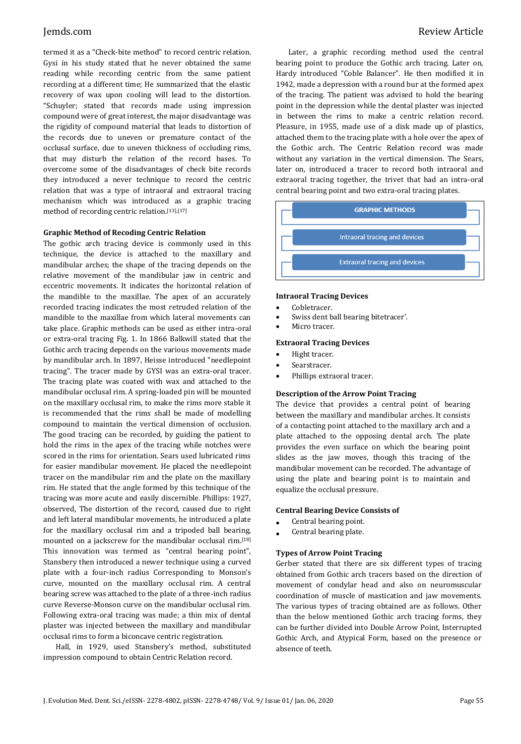termed it as a "Check-bite method" to record centric relation. Gysi in his study stated that he never obtained the same reading while recording centric from the same patient recording at a different time; He summarized that the elastic recovery of wax upon cooling will lead to the distortion. "Schuyler; stated that records made using impression compound were of great interest, the major disadvantage was the rigidity of compound material that leads to distortion of the records due to uneven or premature contact of the occlusal surface, due to uneven thickness of occluding rims, that may disturb the relation of the record bases. To overcome some of the disadvantages of check bite records they introduced a never technique to record the centric relation that was a type of intraoral and extraoral tracing mechanism which was introduced as a graphic tracing method of recording centric relation.[13],[17]

# **Graphic Method of Recoding Centric Relation**

The gothic arch tracing device is commonly used in this technique, the device is attached to the maxillary and mandibular arches; the shape of the tracing depends on the relative movement of the mandibular jaw in centric and eccentric movements. It indicates the horizontal relation of the mandible to the maxillae. The apex of an accurately recorded tracing indicates the most retruded relation of the mandible to the maxillae from which lateral movements can take place. Graphic methods can be used as either intra-oral or extra-oral tracing Fig. 1. In 1866 Balkwill stated that the Gothic arch tracing depends on the various movements made by mandibular arch. In 1897, Heisse introduced "needlepoint tracing". The tracer made by GYSI was an extra-oral tracer. The tracing plate was coated with wax and attached to the mandibular occlusal rim. A spring-loaded pin will be mounted on the maxillary occlusal rim, to make the rims more stable it is recommended that the rims shall be made of modelling compound to maintain the vertical dimension of occlusion. The good tracing can be recorded, by guiding the patient to hold the rims in the apex of the tracing while notches were scored in the rims for orientation. Sears used lubricated rims for easier mandibular movement. He placed the needlepoint tracer on the mandibular rim and the plate on the maxillary rim. He stated that the angle formed by this technique of the tracing was more acute and easily discernible. Phillips: 1927, observed, The distortion of the record, caused due to right and left lateral mandibular movements, he introduced a plate for the maxillary occlusal rim and a tripoded ball bearing, mounted on a jackscrew for the mandibular occlusal rim.[18] This innovation was termed as "central bearing point", Stansbery then introduced a newer technique using a curved plate with a four-inch radius Corresponding to Monson's curve, mounted on the maxillary occlusal rim. A central bearing screw was attached to the plate of a three-inch radius curve Reverse-Monson curve on the mandibular occlusal rim. Following extra-oral tracing was made; a thin mix of dental plaster was injected between the maxillary and mandibular occlusal rims to form a biconcave centric registration.

Hall, in 1929, used Stansbery's method, substituted impression compound to obtain Centric Relation record.

Later, a graphic recording method used the central bearing point to produce the Gothic arch tracing. Later on, Hardy introduced "Coble Balancer". He then modified it in 1942, made a depression with a round bur at the formed apex of the tracing. The patient was advised to hold the bearing point in the depression while the dental plaster was injected in between the rims to make a centric relation record. Pleasure, in 1955, made use of a disk made up of plastics, attached them to the tracing plate with a hole over the apex of the Gothic arch. The Centric Relation record was made without any variation in the vertical dimension. The Sears, later on, introduced a tracer to record both intraoral and extraoral tracing together, the trivet that had an intra-oral central bearing point and two extra-oral tracing plates.



### **Intraoral Tracing Devices**

- Cobletracer.
- Swiss dent ball bearing bitetracer'.
- Micro tracer.

### **Extraoral Tracing Devices**

- Hight tracer.
- Searstracer.
- Phillips extraoral tracer.

### **Description of the Arrow Point Tracing**

The device that provides a central point of bearing between the maxillary and mandibular arches. It consists of a contacting point attached to the maxillary arch and a plate attached to the opposing dental arch. The plate provides the even surface on which the bearing point slides as the jaw moves, though this tracing of the mandibular movement can be recorded. The advantage of using the plate and bearing point is to maintain and equalize the occlusal pressure.

### **Central Bearing Device Consists of**

- Central bearing point.
- Central bearing plate.

### **Types of Arrow Point Tracing**

Gerber stated that there are six different types of tracing obtained from Gothic arch tracers based on the direction of movement of condylar head and also on neuromuscular coordination of muscle of mastication and jaw movements. The various types of tracing obtained are as follows. Other than the below mentioned Gothic arch tracing forms, they can be further divided into Double Arrow Point, Interrupted Gothic Arch, and Atypical Form, based on the presence or absence of teeth.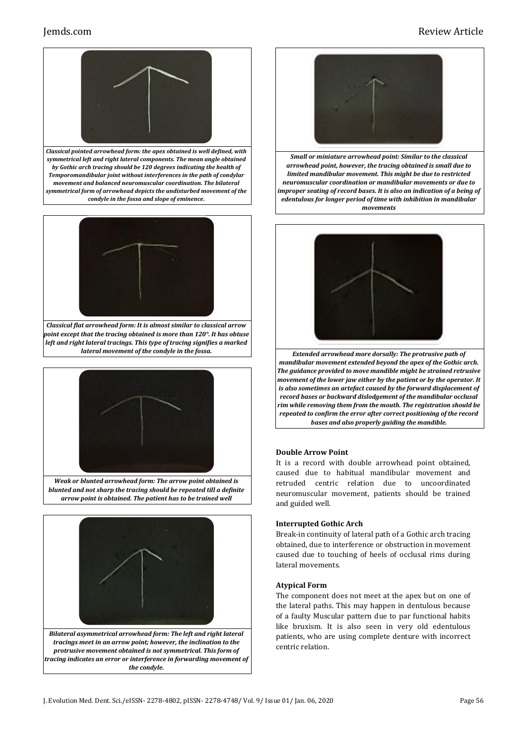# Jemds.com Review Article



*Classical pointed arrowhead form: the apex obtained is well defined, with symmetrical left and right lateral components. The mean angle obtained by Gothic arch tracing should be 120 degrees indicating the health of Temporomandibular joint without interferences in the path of condylar movement and balanced neuromuscular coordination. The bilateral symmetrical form of arrowhead depicts the undisturbed movement of the condyle in the fossa and slope of eminence.*



*Classical flat arrowhead form: It is almost similar to classical arrow point except that the tracing obtained is more than 120°. It has obtuse left and right lateral tracings. This type of tracing signifies a marked lateral movement of the condyle in the fossa.*



*Weak or blunted arrowhead form: The arrow point obtained is blunted and not sharp the tracing should be repeated till a definite arrow point is obtained. The patient has to be trained well*



*Bilateral asymmetrical arrowhead form: The left and right lateral tracings meet in an arrow point; however, the inclination to the protrusive movement obtained is not symmetrical. This form of tracing indicates an error or interference in forwarding movement of the condyle.*



*Small or miniature arrowhead point: Similar to the classical arrowhead point, however, the tracing obtained is small due to limited mandibular movement. This might be due to restricted neuromuscular coordination or mandibular movements or due to improper seating of record bases. It is also an indication of a being of edentulous for longer period of time with inhibition in mandibular movements*



*Extended arrowhead more dorsally: The protrusive path of mandibular movement extended beyond the apex of the Gothic arch. The guidance provided to move mandible might be strained retrusive movement of the lower jaw either by the patient or by the operator. It is also sometimes an artefact caused by the forward displacement of record bases or backward dislodgement of the mandibular occlusal rim while removing them from the mouth. The registration should be repeated to confirm the error after correct positioning of the record bases and also properly guiding the mandible.*

# **Double Arrow Point**

It is a record with double arrowhead point obtained, caused due to habitual mandibular movement and retruded centric relation due to uncoordinated neuromuscular movement, patients should be trained and guided well.

### **Interrupted Gothic Arch**

Break-in continuity of lateral path of a Gothic arch tracing obtained, due to interference or obstruction in movement caused due to touching of heels of occlusal rims during lateral movements.

### **Atypical Form**

The component does not meet at the apex but on one of the lateral paths. This may happen in dentulous because of a faulty Muscular pattern due to par functional habits like bruxism. It is also seen in very old edentulous patients, who are using complete denture with incorrect centric relation.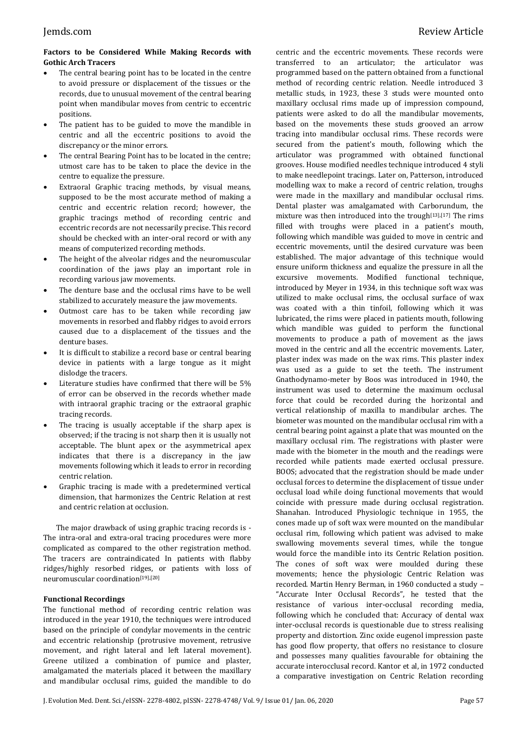# **Factors to be Considered While Making Records with Gothic Arch Tracers**

- The central bearing point has to be located in the centre to avoid pressure or displacement of the tissues or the records, due to unusual movement of the central bearing point when mandibular moves from centric to eccentric positions.
- The patient has to be guided to move the mandible in centric and all the eccentric positions to avoid the discrepancy or the minor errors.
- The central Bearing Point has to be located in the centre; utmost care has to be taken to place the device in the centre to equalize the pressure.
- Extraoral Graphic tracing methods, by visual means, supposed to be the most accurate method of making a centric and eccentric relation record; however, the graphic tracings method of recording centric and eccentric records are not necessarily precise. This record should be checked with an inter-oral record or with any means of computerized recording methods.
- The height of the alveolar ridges and the neuromuscular coordination of the jaws play an important role in recording various jaw movements.
- The denture base and the occlusal rims have to be well stabilized to accurately measure the jaw movements.
- Outmost care has to be taken while recording jaw movements in resorbed and flabby ridges to avoid errors caused due to a displacement of the tissues and the denture bases.
- It is difficult to stabilize a record base or central bearing device in patients with a large tongue as it might dislodge the tracers.
- Literature studies have confirmed that there will be 5% of error can be observed in the records whether made with intraoral graphic tracing or the extraoral graphic tracing records.
- The tracing is usually acceptable if the sharp apex is observed; if the tracing is not sharp then it is usually not acceptable. The blunt apex or the asymmetrical apex indicates that there is a discrepancy in the jaw movements following which it leads to error in recording centric relation.
- Graphic tracing is made with a predetermined vertical dimension, that harmonizes the Centric Relation at rest and centric relation at occlusion.

The major drawback of using graphic tracing records is - The intra-oral and extra-oral tracing procedures were more complicated as compared to the other registration method. The tracers are contraindicated In patients with flabby ridges/highly resorbed ridges, or patients with loss of neuromuscular coordination[19],[20]

# **Functional Recordings**

The functional method of recording centric relation was introduced in the year 1910, the techniques were introduced based on the principle of condylar movements in the centric and eccentric relationship (protrusive movement, retrusive movement, and right lateral and left lateral movement). Greene utilized a combination of pumice and plaster, amalgamated the materials placed it between the maxillary and mandibular occlusal rims, guided the mandible to do

centric and the eccentric movements. These records were transferred to an articulator; the articulator was programmed based on the pattern obtained from a functional method of recording centric relation. Needle introduced 3 metallic studs, in 1923, these 3 studs were mounted onto maxillary occlusal rims made up of impression compound, patients were asked to do all the mandibular movements, based on the movements these studs grooved an arrow tracing into mandibular occlusal rims. These records were secured from the patient's mouth, following which the articulator was programmed with obtained functional grooves. House modified needles technique introduced 4 styli to make needlepoint tracings. Later on, Patterson, introduced modelling wax to make a record of centric relation, troughs were made in the maxillary and mandibular occlusal rims. Dental plaster was amalgamated with Carborundum, the mixture was then introduced into the trough $[13]$ , $[17]$  The rims filled with troughs were placed in a patient's mouth, following which mandible was guided to move in centric and eccentric movements, until the desired curvature was been established. The major advantage of this technique would ensure uniform thickness and equalize the pressure in all the excursive movements. Modified functional technique, introduced by Meyer in 1934, in this technique soft wax was utilized to make occlusal rims, the occlusal surface of wax was coated with a thin tinfoil, following which it was lubricated, the rims were placed in patients mouth, following which mandible was guided to perform the functional movements to produce a path of movement as the jaws moved in the centric and all the eccentric movements. Later, plaster index was made on the wax rims. This plaster index was used as a guide to set the teeth. The instrument Gnathodynamo-meter by Boos was introduced in 1940, the instrument was used to determine the maximum occlusal force that could be recorded during the horizontal and vertical relationship of maxilla to mandibular arches. The biometer was mounted on the mandibular occlusal rim with a central bearing point against a plate that was mounted on the maxillary occlusal rim. The registrations with plaster were made with the biometer in the mouth and the readings were recorded while patients made exerted occlusal pressure. BOOS; advocated that the registration should be made under occlusal forces to determine the displacement of tissue under occlusal load while doing functional movements that would coincide with pressure made during occlusal registration. Shanahan. Introduced Physiologic technique in 1955, the cones made up of soft wax were mounted on the mandibular occlusal rim, following which patient was advised to make swallowing movements several times, while the tongue would force the mandible into its Centric Relation position. The cones of soft wax were moulded during these movements; hence the physiologic Centric Relation was recorded. Martin Henry Berman, in 1960 conducted a study – "Accurate Inter Occlusal Records", he tested that the resistance of various inter-occlusal recording media, following which he concluded that: Accuracy of dental wax inter-occlusal records is questionable due to stress realising property and distortion. Zinc oxide eugenol impression paste has good flow property, that offers no resistance to closure and possesses many qualities favourable for obtaining the accurate interocclusal record. Kantor et al, in 1972 conducted a comparative investigation on Centric Relation recording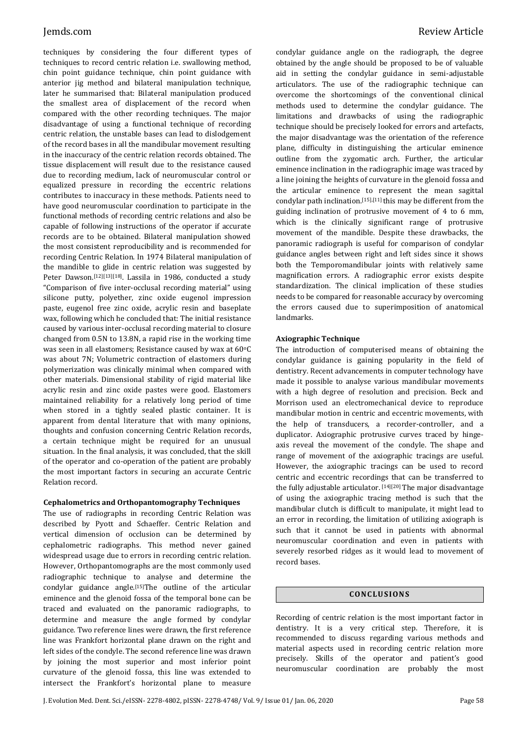techniques by considering the four different types of techniques to record centric relation i.e. swallowing method, chin point guidance technique, chin point guidance with anterior jig method and bilateral manipulation technique, later he summarised that: Bilateral manipulation produced the smallest area of displacement of the record when compared with the other recording techniques. The major disadvantage of using a functional technique of recording centric relation, the unstable bases can lead to dislodgement of the record bases in all the mandibular movement resulting in the inaccuracy of the centric relation records obtained. The tissue displacement will result due to the resistance caused due to recording medium, lack of neuromuscular control or equalized pressure in recording the eccentric relations contributes to inaccuracy in these methods. Patients need to have good neuromuscular coordination to participate in the functional methods of recording centric relations and also be capable of following instructions of the operator if accurate records are to be obtained. Bilateral manipulation showed the most consistent reproducibility and is recommended for recording Centric Relation. In 1974 Bilateral manipulation of the mandible to glide in centric relation was suggested by Peter Dawson.<sup>[12][13][18]</sup>. Lassila in 1986, conducted a study "Comparison of five inter-occlusal recording material" using silicone putty, polyether, zinc oxide eugenol impression paste, eugenol free zinc oxide, acrylic resin and baseplate wax, following which he concluded that: The initial resistance caused by various inter-occlusal recording material to closure changed from 0.5N to 13.8N, a rapid rise in the working time was seen in all elastomers; Resistance caused by wax at 60°C was about 7N; Volumetric contraction of elastomers during polymerization was clinically minimal when compared with other materials. Dimensional stability of rigid material like acrylic resin and zinc oxide pastes were good. Elastomers maintained reliability for a relatively long period of time when stored in a tightly sealed plastic container. It is apparent from dental literature that with many opinions, thoughts and confusion concerning Centric Relation records, a certain technique might be required for an unusual situation. In the final analysis, it was concluded, that the skill of the operator and co-operation of the patient are probably the most important factors in securing an accurate Centric Relation record.

### **Cephalometrics and Orthopantomography Techniques**

The use of radiographs in recording Centric Relation was described by Pyott and Schaeffer. Centric Relation and vertical dimension of occlusion can be determined by cephalometric radiographs. This method never gained widespread usage due to errors in recording centric relation. However, Orthopantomographs are the most commonly used radiographic technique to analyse and determine the condylar guidance angle.[15]The outline of the articular eminence and the glenoid fossa of the temporal bone can be traced and evaluated on the panoramic radiographs, to determine and measure the angle formed by condylar guidance. Two reference lines were drawn, the first reference line was Frankfort horizontal plane drawn on the right and left sides of the condyle. The second reference line was drawn by joining the most superior and most inferior point curvature of the glenoid fossa, this line was extended to intersect the Frankfort's horizontal plane to measure condylar guidance angle on the radiograph, the degree obtained by the angle should be proposed to be of valuable aid in setting the condylar guidance in semi-adjustable articulators. The use of the radiographic technique can overcome the shortcomings of the conventional clinical methods used to determine the condylar guidance. The limitations and drawbacks of using the radiographic technique should be precisely looked for errors and artefacts, the major disadvantage was the orientation of the reference plane, difficulty in distinguishing the articular eminence outline from the zygomatic arch. Further, the articular eminence inclination in the radiographic image was traced by a line joining the heights of curvature in the glenoid fossa and the articular eminence to represent the mean sagittal condylar path inclination.[15],[11] this may be different from the guiding inclination of protrusive movement of 4 to 6 mm, which is the clinically significant range of protrusive movement of the mandible. Despite these drawbacks, the panoramic radiograph is useful for comparison of condylar guidance angles between right and left sides since it shows both the Temporomandibular joints with relatively same magnification errors. A radiographic error exists despite standardization. The clinical implication of these studies needs to be compared for reasonable accuracy by overcoming the errors caused due to superimposition of anatomical landmarks.

# **Axiographic Technique**

The introduction of computerised means of obtaining the condylar guidance is gaining popularity in the field of dentistry. Recent advancements in computer technology have made it possible to analyse various mandibular movements with a high degree of resolution and precision. Beck and Morrison used an electromechanical device to reproduce mandibular motion in centric and eccentric movements, with the help of transducers, a recorder-controller, and a duplicator. Axiographic protrusive curves traced by hingeaxis reveal the movement of the condyle. The shape and range of movement of the axiographic tracings are useful. However, the axiographic tracings can be used to record centric and eccentric recordings that can be transferred to the fully adjustable articulator. [14][20] The major disadvantage of using the axiographic tracing method is such that the mandibular clutch is difficult to manipulate, it might lead to an error in recording, the limitation of utilizing axiograph is such that it cannot be used in patients with abnormal neuromuscular coordination and even in patients with severely resorbed ridges as it would lead to movement of record bases.

# **CONC LU S ION S**

Recording of centric relation is the most important factor in dentistry. It is a very critical step. Therefore, it is recommended to discuss regarding various methods and material aspects used in recording centric relation more precisely. Skills of the operator and patient's good neuromuscular coordination are probably the most